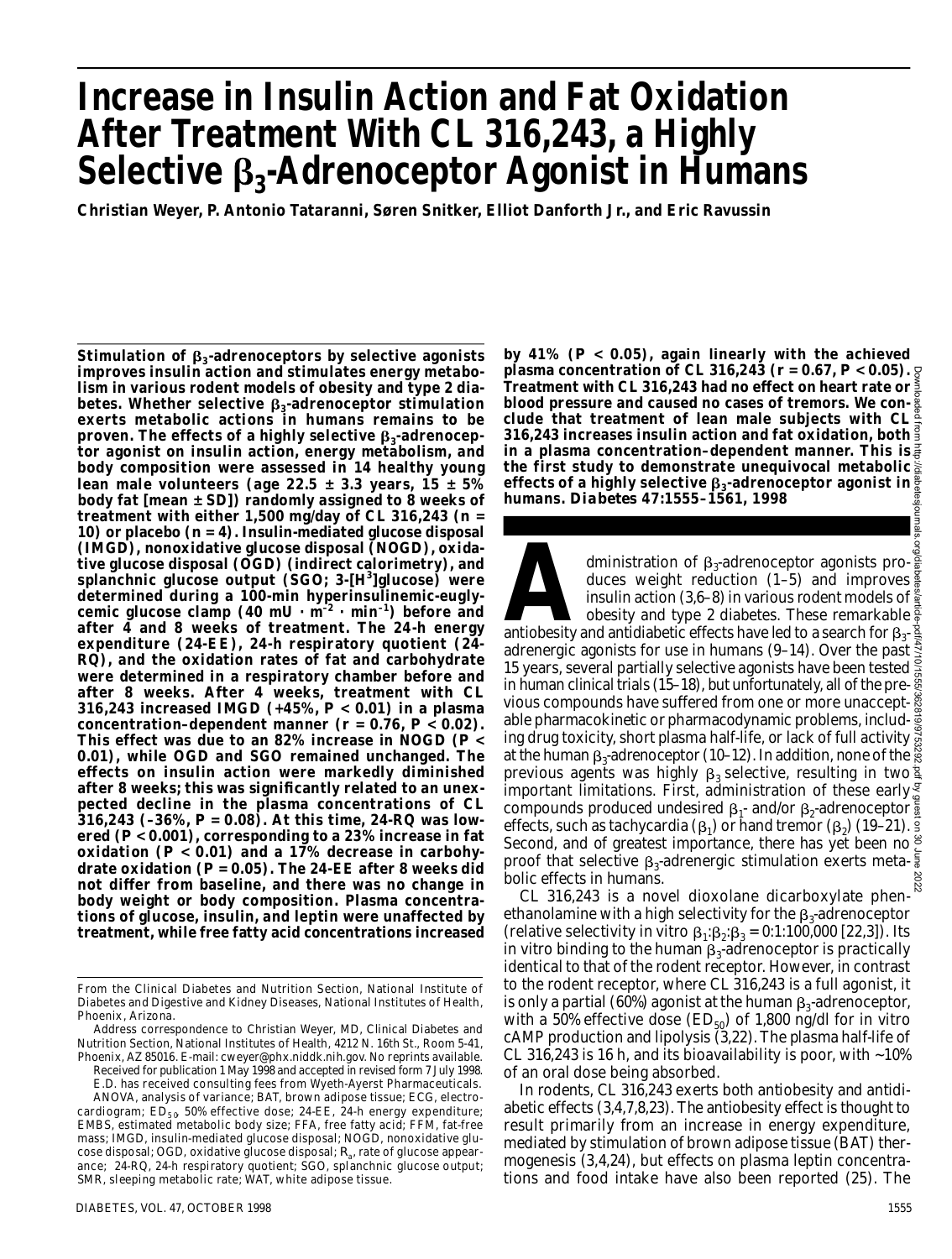# **Increase in Insulin Action and Fat Oxidation After Treatment With CL 316,243, a Highly Selective <sup>3</sup> -Adrenoceptor Agonist in Humans**

Christian Weyer, P. Antonio Tataranni, Søren Snitker, Elliot Danforth Jr., and Eric Ravussin

**Stimulation of <sup>3</sup> -adrenoceptors by selective agonists improves insulin action and stimulates energy metabolism in various rodent models of obesity and type 2 diabetes. Whether selective <sup>3</sup> -adrenoceptor stimulation exerts metabolic actions in humans remains to be proven. The effects of a highly selective β<sub>3</sub>-adrenoceptor agonist on insulin action, energy metabolism, and body composition were assessed in 14 healthy young lean male volunteers (age 22.5 ± 3.3 years, 15 ± 5% body fat [mean ± SD]) randomly assigned to 8 weeks of treatment with either 1,500 mg/day of CL 316,243 (***n* **= 10) or placebo (***n* **= 4). Insulin-mediated glucose disposal (IMGD), nonoxidative glucose disposal (NOGD), oxidative glucose disposal (OGD) (indirect calorimetry), and splanchnic glucose output (SGO; 3-[H<sup>3</sup> ]glucose) were determined during a 100-min hyperinsulinemic-euglycemic glucose clamp (40 mU · m– 2 · min– 1) before and after 4 and 8 weeks of treatment. The 24-h energy expenditure (24-EE), 24-h respiratory quotient (24- RQ), and the oxidation rates of fat and carbohydrate were determined in a respiratory chamber before and after 8 weeks. After 4 weeks, treatment with CL 316,243 increased IMGD (+45%,** *P* **< 0.01) in a plasma** concentration–dependent manner  $(r = 0.76, P < 0.02)$ . **This effect was due to an 82% increase in NOGD (***P* **< 0.01), while OGD and SGO remained unchanged. The e ffects on insulin action were markedly diminished after 8 weeks; this was significantly related to an unexpected decline in the plasma concentrations of CL 316,243 (–36%,** *P* **= 0.08). At this time, 24-RQ was lowered (***P* **< 0.001), corresponding to a 23% increase in fat oxidation (***P* **< 0.01) and a 17% decrease in carbohydrate oxidation (***P* **= 0.05). The 24-EE after 8 weeks did not differ from baseline, and there was no change in body weight or body composition. Plasma concentrations of glucose, insulin, and leptin were unaffected by treatment, while free fatty acid concentrations increased**

SMR, sleeping metabolic rate; WAT, white adipose tissue.

**by 41% (***P* **< 0.05), again linearly with the achieved plasma concentration of CL 316,243 (** $r = 0.67$ **,**  $P < 0.05$ **).**  $\theta$ **Treatment with CL 316,243 had no effect on heart rate or blood pressure and caused no cases of tremors. We conclude that treatment of lean male subjects with CL 3 1 6 , 2 4 3 increases insulin action and fat oxidation, both in a plasma concentration–dependent manner. This is the first study to demonstrate unequivocal metabolic e ffects of a highly selective <sup>3</sup> -adrenoceptor agonist in humans.** *D i a b e t e s* **47:1555–1561, 1998**

dministration of  $\beta_3$ -adrenoceptor agonists pro-<br>duces weight reduction (1–5) and improves<br>insulin action (3,6–8) in various rodent models of<br>obesity and type 2 diabetes. These remarkable<br>antiobesity and antidiabetic ef dministration of  $\beta_3$ -adrenoceptor agonists produces weight reduction (1–5) and improves insulin action (3,6–8) in various rodent models of  $\frac{8}{3}$ obesity and type 2 diabetes. These remarkable adrenergic agonists for use in humans (9–14). Over the past  $\ddot{\ddot{\mathcal{R}}}$ 15 years, several partially selective agonists have been tested  $\frac{8}{2}$ in human clinical trials (15–18), but unfortunately, all of the previous compounds have suffered from one or more unacceptable pharmacokinetic or pharmacodynamic problems, includ-  $\bar{\mathbb{g}}$ ing drug toxicity, short plasma half-life, or lack of full activity  $\breve{\vec{\mathfrak{g}}}$ at the human  $\beta_3$ -adrenoceptor (10–12). In addition, none of the previous agents was highly  $\beta_3$  selective, resulting in two  $\frac{1}{3}$ important limitations. First, administration of these early  $\frac{g}{\omega}$ compounds produced undesired  $\beta_1$ - and/or  $\beta_2$ -adrenoceptor effects, such as tachycardia ( $\beta_1$ ) or hand tremor ( $\beta_2$ ) (19–21). Second, and of greatest importance, there has yet been no<sup>g</sup> proof that selective  $\beta_3$ -adrenergic stimulation exerts metabolic effects in humans. Downloaded from http://diabetesjournals.org/diabetes/article-pdf/47/10/1555/362819/9753292.pdf by guest on 30 June 2022

CL 316,243 is a novel dioxolane dicarboxylate phen- $\frac{8}{10}$ ethanolamine with a high selectivity for the  $\beta_3$ -adrenoceptor (relative selectivity in vitro  $\beta_1:\beta_2:\beta_3 = 0:1:100,000$  [22,3]). Its in vitro binding to the human  $\beta_3$ -adrenoceptor is practically identical to that of the rodent receptor. However, in contrast to the rodent receptor, where CL 316,243 is a full agonist, it is only a partial (60%) agonist at the human  $\beta_3$ -adrenoceptor, with a 50% effective dose (ED $_{50}$ ) of 1,800 ng/dl for in vitro cAMP production and lipolysis (3,22). The plasma half-life of CL 316,243 is 16 h, and its bioavailability is poor, with ~10% of an oral dose being absorbed.

In rodents, CL 316,243 exerts both antiobesity and antidiabetic effects (3,4,7,8,23). The antiobesity effect is thought to result primarily from an increase in energy expenditure, mediated by stimulation of brown adipose tissue (BAT) thermogenesis (3,4,24), but effects on plasma leptin concentrations and food intake have also been reported (25). The

From the Clinical Diabetes and Nutrition Section, National Institute of Diabetes and Digestive and Kidney Diseases, National Institutes of Health, Phoenix, Arizona.

Address correspondence to Christian Weyer, MD, Clinical Diabetes and Nutrition Section, National Institutes of Health, 4212 N. 16th St., Room 5-41, Phoenix, AZ 85016. E-mail: cweyer@phx.niddk.nih.gov. No reprints available.

Received for publication 1 May 1998 and accepted in revised form 7 July 1998. E.D. has received consulting fees from Wyeth-Ayerst Pharmaceuticals. ANOVA, analysis of variance; BAT, brown adipose tissue; ECG, electrocardiogram;  $ED_{50}$  50% effective dose; 24-EE, 24-h energy expenditure; EMBS, estimated metabolic body size; FFA, free fatty acid; FFM, fat-free mass; IMGD, insulin-mediated glucose disposal; NOGD, nonoxidative glucose disposal; OGD, oxidative glucose disposal; *R*<sup>a</sup> , rate of glucose appearance; 24-RQ, 24-h respiratory quotient; SGO, splanchnic glucose output;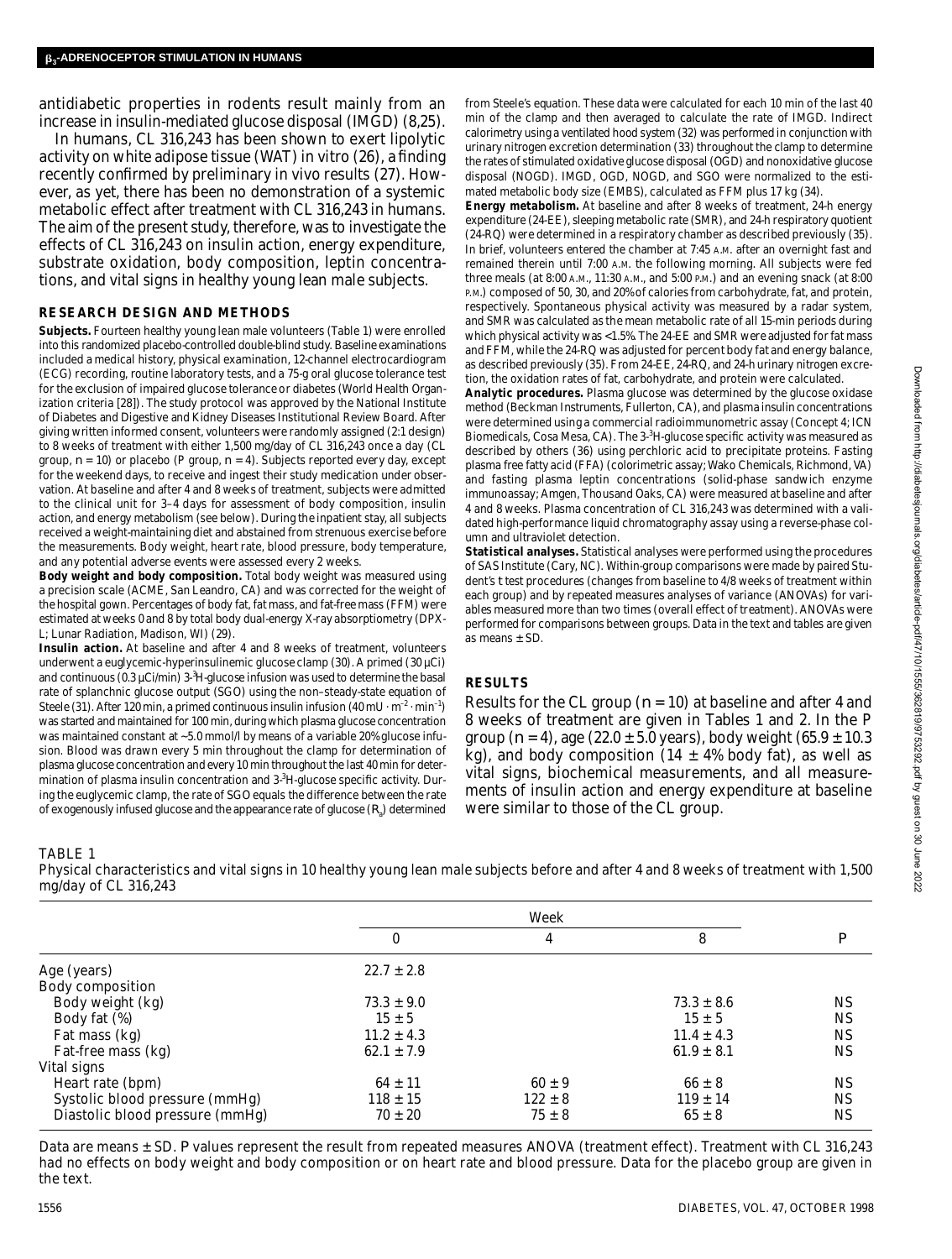antidiabetic properties in rodents result mainly from an increase in insulin-mediated glucose disposal (IMGD) (8,25).

In humans, CL 316,243 has been shown to exert lipolytic activity on white adipose tissue (WAT) in vitro (26), a finding recently confirmed by preliminary in vivo results (27). However, as yet, there has been no demonstration of a systemic metabolic effect after treatment with CL 316,243 in humans. The aim of the present study, therefore, was to investigate the effects of CL 316,243 on insulin action, energy expenditure, substrate oxidation, body composition, leptin concentrations, and vital signs in healthy young lean male subjects.

# **RESEARCH DESIGN AND METHODS**

Subjects. Fourteen healthy young lean male volunteers (Table 1) were enrolled into this randomized placebo-controlled double-blind study. Baseline examinations included a medical history, physical examination, 12-channel electrocardiogram (ECG) recording, routine laboratory tests, and a 75-g oral glucose tolerance test for the exclusion of impaired glucose tolerance or diabetes (World Health Organization criteria [28]). The study protocol was approved by the National Institute of Diabetes and Digestive and Kidney Diseases Institutional Review Board. After giving written informed consent, volunteers were randomly assigned (2:1 design) to 8 weeks of treatment with either 1,500 mg/day of CL 316,243 once a day (CL group, *n* = 10) or placebo (P group, *n* = 4). Subjects reported every day, except for the weekend days, to receive and ingest their study medication under observation. At baseline and after 4 and 8 weeks of treatment, subjects were admitted to the clinical unit for 3–4 days for assessment of body composition, insulin action, and energy metabolism (see below). During the inpatient stay, all subjects received a weight-maintaining diet and abstained from strenuous exercise before the measurements. Body weight, heart rate, blood pressure, body temperature, and any potential adverse events were assessed every 2 weeks.

**Body weight and body composition.** Total body weight was measured using a precision scale (ACME, San Leandro, CA) and was corrected for the weight of the hospital gown. Percentages of body fat, fat mass, and fat-free mass (FFM) were estimated at weeks 0 and 8 by total body dual-energy X-ray absorptiometry (DPX-L; Lunar Radiation, Madison, WI) (29).

**Insulin action.** At baseline and after 4 and 8 weeks of treatment, volunteers underwent a euglycemic-hyperinsulinemic glucose clamp (30). A primed (30 µCi) and continuous (0.3 µCi/min) 3-<sup>3</sup>H-glucose infusion was used to determine the basal rate of splanchnic glucose output (SGO) using the non–steady-state equation of Steele (31). After 120 min, a primed continuous insulin infusion (40 mU  $\cdot$  m<sup>-2</sup>  $\cdot$  min<sup>-1</sup>) was started and maintained for 100 min, during which plasma glucose concentration was maintained constant at ~5.0 mmol/l by means of a variable 20% glucose infusion. Blood was drawn every 5 min throughout the clamp for determination of plasma glucose concentration and every 10 min throughout the last 40 min for determination of plasma insulin concentration and 3-3H-glucose specific activity. During the euglycemic clamp, the rate of SGO equals the difference between the rate of exogenously infused glucose and the appearance rate of glucose  $(R_{\!\scriptscriptstyle 3}\!)$  determined

from Steele's equation. These data were calculated for each 10 min of the last 40 min of the clamp and then averaged to calculate the rate of IMGD. Indirect calorimetry using a ventilated hood system (32) was performed in conjunction with urinary nitrogen excretion determination (33) throughout the clamp to determine the rates of stimulated oxidative glucose disposal (OGD) and nonoxidative glucose disposal (NOGD). IMGD, OGD, NOGD, and SGO were normalized to the estimated metabolic body size (EMBS), calculated as FFM plus 17 kg (34).

**Energy metabolism.** At baseline and after 8 weeks of treatment, 24-h energy expenditure (24-EE), sleeping metabolic rate (SMR), and 24-h respiratory quotient (24-RQ) were determined in a respiratory chamber as described previously (35). In brief, volunteers entered the chamber at 7:45 A.M. after an overnight fast and remained therein until 7:00 A.M. the following morning. All subjects were fed three meals (at 8:00 A.M., 11:30 A.M., and 5:00 P.M.) and an evening snack (at 8:00 P.M.) composed of 50, 30, and 20% of calories from carbohydrate, fat, and protein, respectively. Spontaneous physical activity was measured by a radar system, and SMR was calculated as the mean metabolic rate of all 15-min periods during which physical activity was <1.5%. The 24-EE and SMR were adjusted for fat mass and FFM, while the 24-RQ was adjusted for percent body fat and energy balance, as described previously (35). From 24-EE, 24-RQ, and 24-h urinary nitrogen excretion, the oxidation rates of fat, carbohydrate, and protein were calculated.

**Analytic procedures.** Plasma glucose was determined by the glucose oxidase method (Beckman Instruments, Fullerton, CA), and plasma insulin concentrations were determined using a commercial radioimmunometric assay (Concept 4; ICN Biomedicals, Cosa Mesa, CA). The 3-<sup>3</sup>H-glucose specific activity was measured as described by others (36) using perchloric acid to precipitate proteins. Fasting plasma free fatty acid (FFA) (colorimetric assay; Wako Chemicals, Richmond, VA) and fasting plasma leptin concentrations (solid-phase sandwich enzyme immunoassay; Amgen, Thousand Oaks, CA) were measured at baseline and after 4 and 8 weeks. Plasma concentration of CL 316,243 was determined with a validated high-performance liquid chromatography assay using a reverse-phase column and ultraviolet detection.

**Statistical analyses.** Statistical analyses were performed using the procedures of SAS Institute (Cary, NC). Within-group comparisons were made by paired Student's *t* test procedures (changes from baseline to 4/8 weeks of treatment within each group) and by repeated measures analyses of variance (ANOVAs) for variables measured more than two times (overall effect of treatment). ANOVAs were performed for comparisons between groups. Data in the text and tables are given as means ± SD.

# **RESULTS**

Results for the CL group (*n* = 10) at baseline and after 4 and 8 weeks of treatment are given in Tables 1 and 2. In the P group  $(n = 4)$ , age  $(22.0 \pm 5.0 \,\text{years})$ , body weight  $(65.9 \pm 10.3 \,\text{m}$ kg), and body composition (14  $\pm$  4% body fat), as well as vital signs, biochemical measurements, and all measurements of insulin action and energy expenditure at baseline were similar to those of the CL group.

# TABLE 1

Physical characteristics and vital signs in 10 healthy young lean male subjects before and after 4 and 8 weeks of treatment with 1,500 mg/day of CL 316,243

|                                 | Week           |             |                |           |
|---------------------------------|----------------|-------------|----------------|-----------|
|                                 | 0              | 4           | 8              | D         |
| Age (years)                     | $22.7 \pm 2.8$ |             |                |           |
| Body composition                |                |             |                |           |
| Body weight (kg)                | $73.3 \pm 9.0$ |             | $73.3 \pm 8.6$ | <b>NS</b> |
| Body fat (%)                    | $15 \pm 5$     |             | $15 \pm 5$     | <b>NS</b> |
| Fat mass (kg)                   | $11.2 \pm 4.3$ |             | $11.4 \pm 4.3$ | <b>NS</b> |
| Fat-free mass (kg)              | $62.1 \pm 7.9$ |             | $61.9 \pm 8.1$ | <b>NS</b> |
| Vital signs                     |                |             |                |           |
| Heart rate (bpm)                | $64 \pm 11$    | $60 \pm 9$  | $66 \pm 8$     | <b>NS</b> |
| Systolic blood pressure (mmHg)  | $118 \pm 15$   | $122 \pm 8$ | $119 \pm 14$   | <b>NS</b> |
| Diastolic blood pressure (mmHg) | $70 \pm 20$    | $75 \pm 8$  | $65 \pm 8$     | <b>NS</b> |

Data are means ± SD. P values represent the result from repeated measures ANOVA (treatment effect). Treatment with CL 316,243 had no effects on body weight and body composition or on heart rate and blood pressure. Data for the placebo group are given in the text.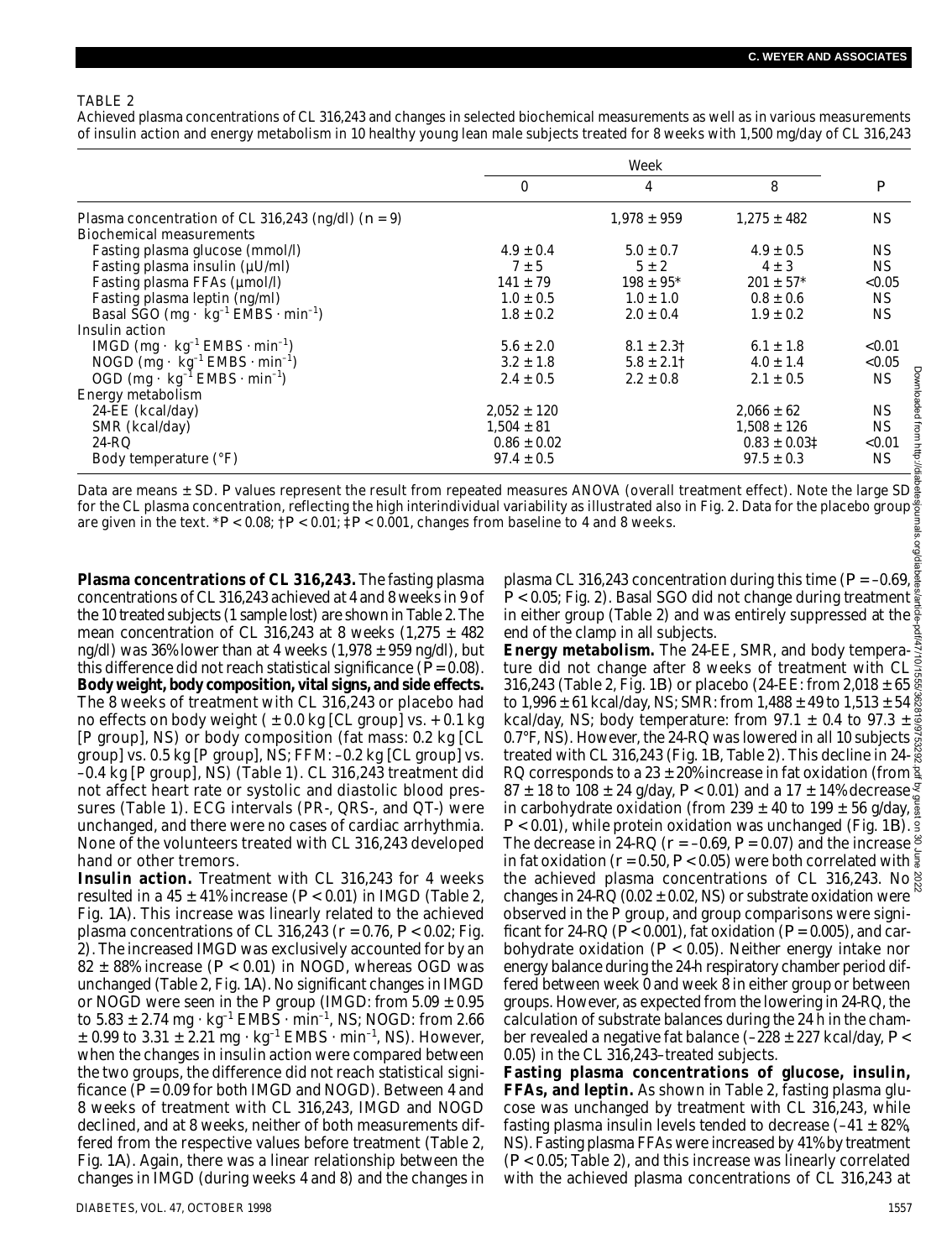#### TABLE 2

Achieved plasma concentrations of CL 316,243 and changes in selected biochemical measurements as well as in various measurements of insulin action and energy metabolism in 10 healthy young lean male subjects treated for 8 weeks with 1,500 mg/day of CL 316,243

|                                                                         | Week            |                           |                           |                  |
|-------------------------------------------------------------------------|-----------------|---------------------------|---------------------------|------------------|
|                                                                         | 0               | 4                         | 8                         | $\boldsymbol{P}$ |
| Plasma concentration of CL 316,243 (ng/dl) ( $n = 9$ )                  |                 | $1,978 \pm 959$           | $1,275 \pm 482$           | <b>NS</b>        |
| Biochemical measurements                                                |                 |                           |                           |                  |
| Fasting plasma glucose (mmol/l)                                         | $4.9 \pm 0.4$   | $5.0 \pm 0.7$             | $4.9 \pm 0.5$             | NS.              |
| Fasting plasma insulin (µU/ml)                                          | $7 \pm 5$       | $5 \pm 2$                 | $4 \pm 3$                 | NS.              |
| Fasting plasma FFAs (µmol/l)                                            | $141 \pm 79$    | $198 \pm 95$ <sup>*</sup> | $201 \pm 57$ <sup>*</sup> | < 0.05           |
| Fasting plasma leptin (ng/ml)                                           | $1.0 \pm 0.5$   | $1.0 \pm 1.0$             | $0.8 \pm 0.6$             | NS.              |
| Basal SGO (mg $\cdot$ kg <sup>-1</sup> EMBS $\cdot$ min <sup>-1</sup> ) | $1.8 \pm 0.2$   | $2.0 \pm 0.4$             | $1.9 \pm 0.2$             | NS.              |
| Insulin action                                                          |                 |                           |                           |                  |
| IMGD $(mg \cdot kg^{-1} EMBS \cdot min^{-1})$                           | $5.6 \pm 2.0$   | $8.1 \pm 2.31$            | $6.1 \pm 1.8$             | < 0.01           |
| NOGD $(mg \cdot \text{kg}^{-1} \text{ EMBS} \cdot \text{min}^{-1})$     | $3.2 \pm 1.8$   | $5.8 \pm 2.11$            | $4.0 \pm 1.4$             | < 0.05           |
| OGD (mg $\cdot$ kg <sup>-1</sup> EMBS $\cdot$ min <sup>-1</sup> )       | $2.4 \pm 0.5$   | $2.2 \pm 0.8$             | $2.1 \pm 0.5$             | NS.              |
| Energy metabolism                                                       |                 |                           |                           |                  |
| 24-EE (kcal/day)                                                        | $2.052 \pm 120$ |                           | $2.066 \pm 62$            | NS.              |
| SMR (kcal/day)                                                          | $1,504 \pm 81$  |                           | $1,508 \pm 126$           | NS.              |
| 24-RQ                                                                   | $0.86 \pm 0.02$ |                           | $0.83 \pm 0.03$ ‡         | < 0.01           |
| Body temperature (°F)                                                   | $97.4 \pm 0.5$  |                           | $97.5 \pm 0.3$            | NS.              |

Data are means ± SD. *P* values represent the result from repeated measures ANOVA (overall treatment effect). Note the large SD for the CL plasma concentration, reflecting the high interindividual variability as illustrated also in Fig. 2. Data for the placebo group are given in the text. \**P* < 0.08; †*P* < 0.01; ‡*P* < 0.001, changes from baseline to 4 and 8 weeks.

**Plasma concentrations of CL 316,243.** The fasting plasma concentrations of CL 316,243 achieved at 4 and 8 weeks in 9 of the 10 treated subjects (1 sample lost) are shown in Table 2. The mean concentration of CL 316,243 at 8 weeks  $(1,275 \pm 482)$ ng/dl) was 36% lower than at 4 weeks  $(1,978 \pm 959 \text{ ng/dl})$ , but this difference did not reach statistical significance (*P*= 0.08). Body weight, body composition, vital signs, and side effects. The 8 weeks of treatment with CL 316,243 or placebo had no effects on body weight  $(±0.0$  kg [CL group] vs.  $+0.1$  kg [P group], NS) or body composition (fat mass: 0.2 kg [CL group] vs. 0.5 kg [P group], NS; FFM: –0.2 kg [CL group] vs. –0.4 kg [P group], NS) (Table 1). CL 316,243 treatment did not affect heart rate or systolic and diastolic blood pressures (Table 1). ECG intervals (PR-, QRS-, and QT-) were unchanged, and there were no cases of cardiac arrhythmia. None of the volunteers treated with CL 316,243 developed hand or other tremors.

**Insulin action.** Treatment with CL 316,243 for 4 weeks resulted in a  $45 \pm 41\%$  increase ( $P < 0.01$ ) in IMGD (Table 2, Fig. 1*A*). This increase was linearly related to the achieved plasma concentrations of CL 316,243 (*r* = 0.76, *P* < 0.02; Fig. 2). The increased IMGD was exclusively accounted for by an 82  $\pm$  88% increase ( $P$  < 0.01) in NOGD, whereas OGD was unchanged (Table 2, Fig. 1*A*). No significant changes in IMGD or NOGD were seen in the P group (IMGD: from  $5.09 \pm 0.95$ to  $5.83 \pm 2.74$  mg  $\cdot$  kg<sup>-1</sup> EMBS  $\cdot$  min<sup>-1</sup>, NS; NOGD: from 2.66  $\pm$  0.99 to 3.31  $\pm$  2.21 mg  $\cdot$  kg<sup>-1</sup> EMBS  $\cdot$  min<sup>-1</sup>, NS). However, when the changes in insulin action were compared between the two groups, the difference did not reach statistical significance (*P* = 0.09 for both IMGD and NOGD). Between 4 and 8 weeks of treatment with CL 316,243, IMGD and NOGD declined, and at 8 weeks, neither of both measurements differed from the respective values before treatment (Table 2, Fig. 1*A*). Again, there was a linear relationship between the changes in IMGD (during weeks 4 and 8) and the changes in plasma CL 316,243 concentration during this time  $(P = -0.69, \frac{9}{80}$ <br>Plasma CL 316,243 concentration during this time  $(P = -0.69, \frac{9}{80}$ *P* < 0.05; Fig. 2). Basal SGO did not change during treatment  $\frac{8}{3}$ in either group (Table 2) and was entirely suppressed at the  $\frac{2}{9}$ end of the clamp in all subjects.

**Energy metabolism.** The 24-EE, SMR, and body tempera- $\frac{3}{3}$ ture did not change after 8 weeks of treatment with CL 316,243 (Table 2, Fig. 1*B*) or placebo (24-EE: from 2,018 ± 65 to 1,996 ± 61 kcal/day, NS; SMR: from 1,488 ± 49 to 1,513 ± 54  $\frac{8}{9}$ kcal/day, NS; body temperature: from 97.1  $\pm$  0.4 to 97.3  $\pm$ 0.7°F, NS). However, the 24-RQ was lowered in all 10 subjects treated with CL 316,243 (Fig. 1*B*, Table 2). This decline in 24- RQ corresponds to a 23  $\pm$  20% increase in fat oxidation (from  $\frac{2}{3}$ ) 87  $\pm$  18 to 108  $\pm$  24 g/day, P < 0.01) and a 17  $\pm$  14% decrease  $\frac{5}{9}$ in carbohydrate oxidation (from 239  $\pm$  40 to 199  $\pm$  56 g/day,  $\frac{5}{8}$  $P$  < 0.01), while protein oxidation was unchanged (Fig. 1*B*).  $\frac{2}{3}$ The decrease in 24-RQ ( $r = -0.69$ ,  $P = 0.07$ ) and the increase  $\frac{8}{5}$ in fat oxidation ( $r$  = 0.50,  $P$  < 0.05) were both correlated with  $\frac{2}{3}$ the achieved plasma concentrations of CL 316,243. No changes in 24-RQ (0.02  $\pm$  0.02, NS) or substrate oxidation were observed in the P group, and group comparisons were significant for 24-RQ  $(P< 0.001)$ , fat oxidation  $(P = 0.005)$ , and carbohydrate oxidation (*P* < 0.05). Neither energy intake nor energy balance during the 24-h respiratory chamber period differed between week 0 and week 8 in either group or between groups. However, as expected from the lowering in 24-RQ, the calculation of substrate balances during the 24 h in the chamber revealed a negative fat balance (–228 ± 227 kcal/day, *P* < 0.05) in the CL 316,243–treated subjects. Downloaded from http://diabetesjournals.org/diabetes/article-pdf/47/10/1555/362819/9753292.pdf by guest on 30 June 2022

**Fasting plasma concentrations of glucose, insulin, FFAs, and leptin.** As shown in Table 2, fasting plasma glucose was unchanged by treatment with CL 316,243, while fasting plasma insulin levels tended to decrease  $(-41 \pm 82\%)$ NS). Fasting plasma FFAs were increased by 41% by treatment (*P* < 0.05; Table 2), and this increase was linearly correlated with the achieved plasma concentrations of CL 316,243 at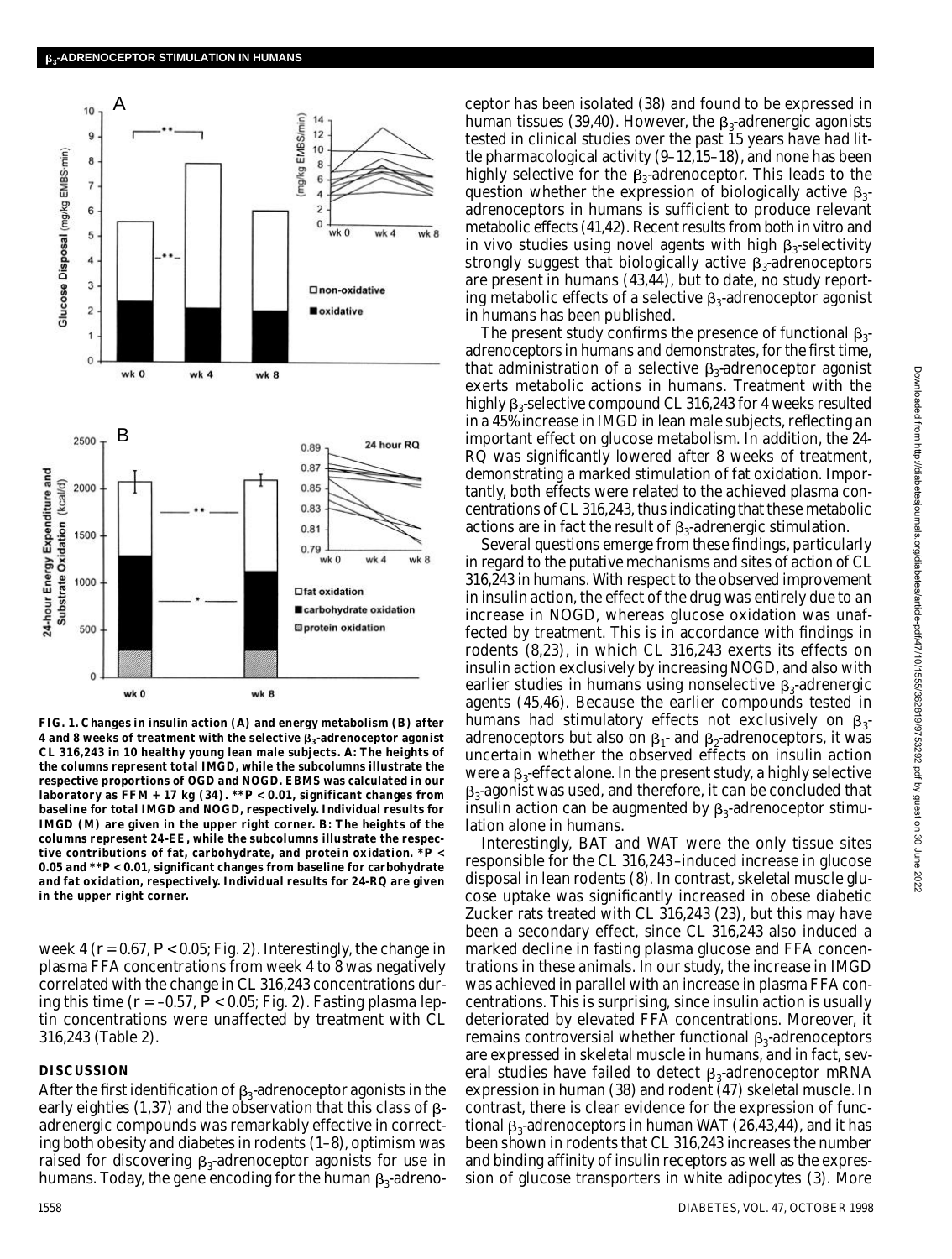

**FIG. 1. Changes in insulin action (***A***) and energy metabolism (***B***) after 4 and 8 weeks of treatment with the selective <sup>3</sup> -adrenoceptor agonist CL 316,243 in 10 healthy young lean male subjects.** *A :* **The heights of the columns represent total IMGD, while the subcolumns illustrate the respective proportions of OGD and NOGD. EBMS was calculated in our laboratory as FFM + 17 kg (34). \*\****P* **< 0.01, significant changes from baseline for total IMGD and NOGD, respectively. Individual results for IMGD (M) are given in the upper right corner.** *B***: The heights of the columns represent 24-EE, while the subcolumns illustrate the respective contributions of fat, carbohydrate, and protein oxidation. \****P* **< 0.05 and \*\****P* **< 0.01, significant changes from baseline for carbohydrate and fat oxidation, respectively. Individual results for 24-RQ are given in the upper right corner.**

week 4 ( $r = 0.67$ ,  $P < 0.05$ ; Fig. 2). Interestingly, the change in plasma FFA concentrations from week 4 to 8 was negatively correlated with the change in CL 316,243 concentrations during this time (*r* = –0.57, *P* < 0.05; Fig. 2). Fasting plasma leptin concentrations were unaffected by treatment with CL 316,243 (Table 2).

# **DISCUSSION**

After the first identification of  $\beta_3$ -adrenoceptor agonists in the early eighties (1,37) and the observation that this class of  $\beta$ adrenergic compounds was remarkably effective in correcting both obesity and diabetes in rodents (1–8), optimism was raised for discovering  $\beta_3$ -adrenoceptor agonists for use in humans. Today, the gene encoding for the human  $\beta_3$ -adreno-

ceptor has been isolated (38) and found to be expressed in human tissues (39,40). However, the  $\beta_3$ -adrenergic agonists tested in clinical studies over the past 15 years have had little pharmacological activity (9–12,15–18), and none has been highly selective for the  $\beta_3$ -adrenoceptor. This leads to the question whether the expression of biologically active  $\beta_{3}$ adrenoceptors in humans is sufficient to produce relevant metabolic effects (41,42). Recent results from both in vitro and in vivo studies using novel agents with high  $\beta_3$ -selectivity strongly suggest that biologically active  $\boldsymbol{\beta}_3$  adrenoceptors are present in humans (43,44), but to date, no study reporting metabolic effects of a selective  $\beta_3$ -adrenoceptor agonist in humans has been published.

The present study confirms the presence of functional  $\beta_{3}$ adrenoceptors in humans and demonstrates, for the first time, that administration of a selective  $\beta_3$ -adrenoceptor agonist exerts metabolic actions in humans. Treatment with the highly  $\beta_3$ -selective compound CL 316,243 for 4 weeks resulted in a 45% increase in IMGD in lean male subjects, reflecting an important effect on glucose metabolism. In addition, the 24- RQ was significantly lowered after 8 weeks of treatment, demonstrating a marked stimulation of fat oxidation. Importantly, both effects were related to the achieved plasma concentrations of CL 316,243, thus indicating that these metabolic actions are in fact the result of  $\beta_3$ -adrenergic stimulation.

Several questions emerge from these findings, particularly in regard to the putative mechanisms and sites of action of CL 316,243 in humans. With respect to the observed improvement in insulin action, the effect of the drug was entirely due to an increase in NOGD, whereas glucose oxidation was unaffected by treatment. This is in accordance with findings in rodents (8,23), in which CL 316,243 exerts its effects on insulin action exclusively by increasing NOGD, and also with earlier studies in humans using nonselective  $\beta_3$ -adrenergic agents (45,46). Because the earlier compounds tested in humans had stimulatory effects not exclusively on  $\beta_{3}$ adrenoceptors but also on  $\beta_1$ - and  $\beta_2$ -adrenoceptors, it was uncertain whether the observed effects on insulin action were a  $\beta_3$ -effect alone. In the present study, a highly selective  $_3$ -agonist was used, and therefore, it can be concluded that insulin action can be augmented by  $\beta_3$ -adrenoceptor stimulation alone in humans.

Interestingly, BAT and WAT were the only tissue sites responsible for the CL 316,243–induced increase in glucose disposal in lean rodents (8). In contrast, skeletal muscle glucose uptake was significantly increased in obese diabetic Zucker rats treated with CL 316,243 (23), but this may have been a secondary effect, since CL 316,243 also induced a marked decline in fasting plasma glucose and FFA concentrations in these animals. In our study, the increase in IMGD was achieved in parallel with an increase in plasma FFA concentrations. This is surprising, since insulin action is usually deteriorated by elevated FFA concentrations. Moreover, it remains controversial whether functional  $\beta_3$ -adrenoceptors are expressed in skeletal muscle in humans, and in fact, several studies have failed to detect  $\bm{\beta}_3$ -adrenoceptor mRNA expression in human (38) and rodent (47) skeletal muscle. In contrast, there is clear evidence for the expression of functional  $\beta_3$ -adrenoceptors in human WAT (26,43,44), and it has been shown in rodents that CL 316,243 increases the number and binding affinity of insulin receptors as well as the expression of glucose transporters in white adipocytes (3). More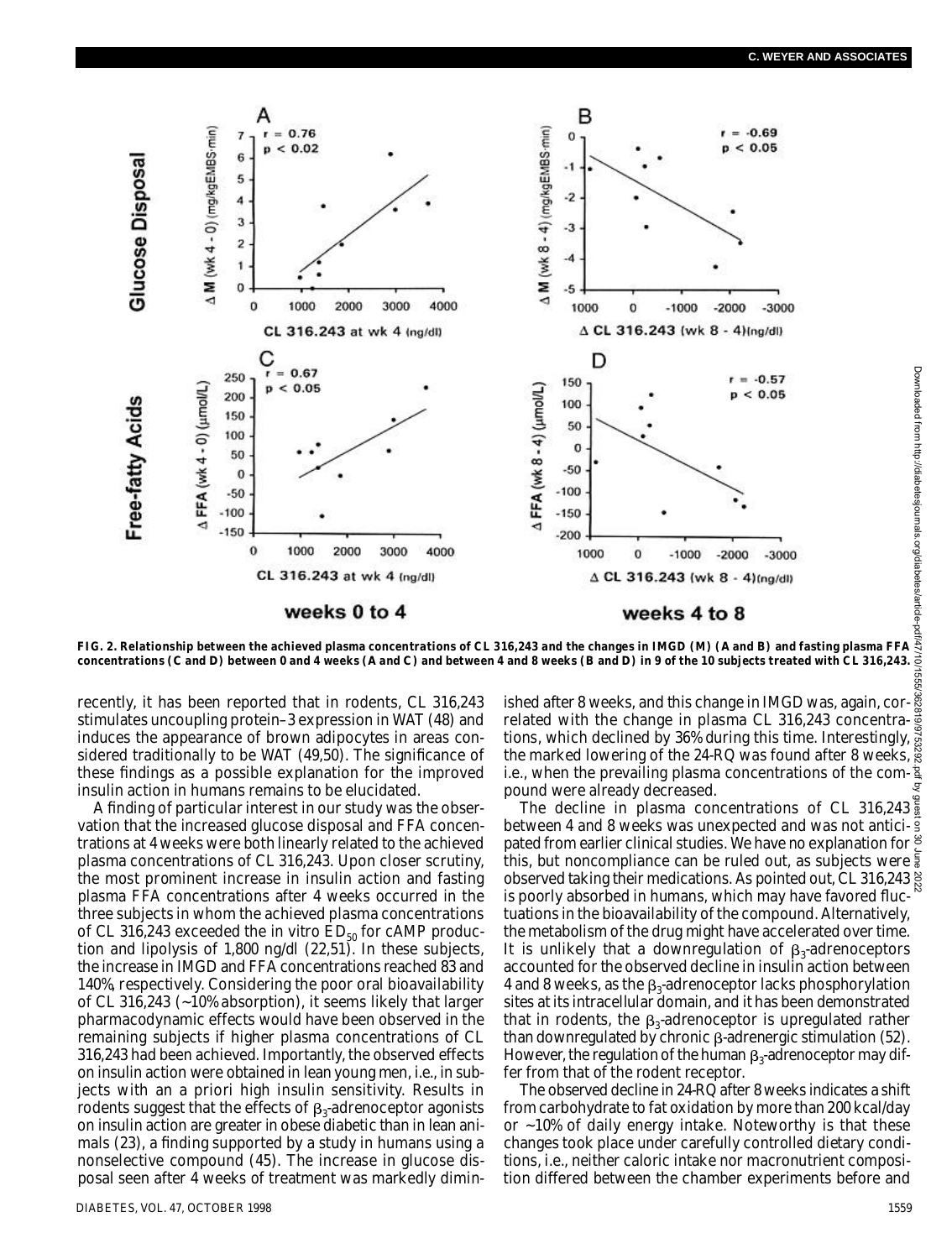

**FIG. 2. Relationship between the achieved plasma concentrations of CL 316,243 and the changes in IMGD (M) (***A* **and** *B***) and fasting plasma FFA** concentrations ( $\emph{C}$  and  $\emph{D}$ ) between 0 and 4 weeks ( $\emph{A}$  and  $\emph{C}$ ) and between 4 and 8 weeks ( $\emph{B}$  and  $\emph{D}$ ) in 9 of the 10 subjects treated with CL 316,243.

stimulates uncoupling protein–3 expression in WAT (48) and induces the appearance of brown adipocytes in areas considered traditionally to be WAT (49,50). The significance of these findings as a possible explanation for the improved insulin action in humans remains to be elucidated.

A finding of particular interest in our study was the observation that the increased glucose disposal and FFA concentrations at 4 weeks were both linearly related to the achieved plasma concentrations of CL 316,243. Upon closer scrutiny, the most prominent increase in insulin action and fasting plasma FFA concentrations after 4 weeks occurred in the three subjects in whom the achieved plasma concentrations of CL 316,243 exceeded the in vitro  $ED_{50}$  for cAMP production and lipolysis of 1,800 ng/dl (22,51). In these subjects, the increase in IMGD and FFA concentrations reached 83 and 140%, respectively. Considering the poor oral bioavailability of CL 316,243 (~10% absorption), it seems likely that larger pharmacodynamic effects would have been observed in the remaining subjects if higher plasma concentrations of CL 316,243 had been achieved. Importantly, the observed effects on insulin action were obtained in lean young men, i.e., in subjects with an a priori high insulin sensitivity. Results in rodents suggest that the effects of  $\beta_3$ -adrenoceptor agonists on insulin action are greater in obese diabetic than in lean animals (23), a finding supported by a study in humans using a nonselective compound (45). The increase in glucose disposal seen after 4 weeks of treatment was markedly dimin-

recently, it has been reported that in rodents, CL 316,243 ished after 8 weeks, and this change in IMGD was, again, correlated with the change in plasma CL 316,243 concentrations, which declined by 36% during this time. Interestingly, the marked lowering of the 24-RQ was found after 8 weeks, i.e., when the prevailing plasma concentrations of the com-  $\frac{1}{2}$ pound were already decreased.

> The decline in plasma concentrations of CL 316,243  $\frac{5}{8}$ between 4 and 8 weeks was unexpected and was not anticipated from earlier clinical studies. We have no explanation for  $\frac{8}{5}$ this, but noncompliance can be ruled out, as subjects were  $\frac{2}{3}$ observed taking their medications. As pointed out, CL 316,243  $\frac{8}{6}$ is poorly absorbed in humans, which may have favored fluctuations in the bioavailability of the compound. Alternatively, the metabolism of the drug might have accelerated over time. It is unlikely that a downregulation of  $\beta_3$ -adrenoceptors accounted for the observed decline in insulin action between 4 and 8 weeks, as the  $\beta_3$ -adrenoceptor lacks phosphorylation sites at its intracellular domain, and it has been demonstrated that in rodents, the  $\beta_3$ -adrenoceptor is upregulated rather than downregulated by chronic  $\beta$ -adrenergic stimulation (52). However, the regulation of the human  $\beta_3$ -adrenoceptor may differ from that of the rodent receptor.

The observed decline in 24-RQ after 8 weeks indicates a shift from carbohydrate to fat oxidation by more than 200 kcal/day or ~10% of daily energy intake. Noteworthy is that these changes took place under carefully controlled dietary conditions, i.e., neither caloric intake nor macronutrient composition differed between the chamber experiments before and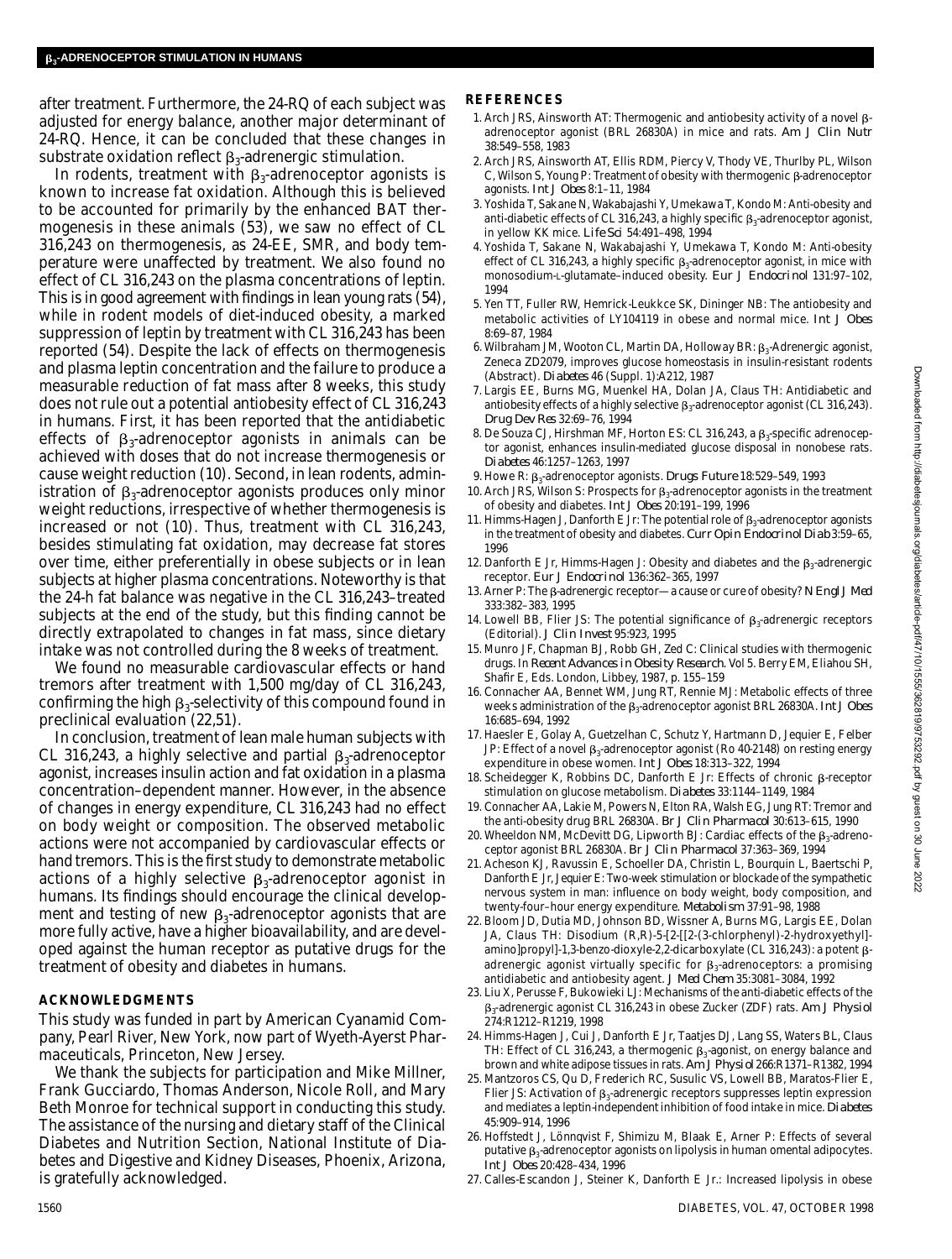after treatment. Furthermore, the 24-RQ of each subject was adjusted for energy balance, another major determinant of 24-RQ. Hence, it can be concluded that these changes in substrate oxidation reflect  $\boldsymbol{\beta}_3$ -adrenergic stimulation.

In rodents, treatment with  $\beta_3$ -adrenoceptor agonists is known to increase fat oxidation. Although this is believed to be accounted for primarily by the enhanced BAT thermogenesis in these animals (53), we saw no effect of CL 316,243 on thermogenesis, as 24-EE, SMR, and body temperature were unaffected by treatment. We also found no effect of CL 316,243 on the plasma concentrations of leptin. This is in good agreement with findings in lean young rats (54), while in rodent models of diet-induced obesity, a marked suppression of leptin by treatment with CL 316,243 has been reported (54). Despite the lack of effects on thermogenesis and plasma leptin concentration and the failure to produce a measurable reduction of fat mass after 8 weeks, this study does not rule out a potential antiobesity effect of CL 316,243 in humans. First, it has been reported that the antidiabetic effects of  $\beta_3$ -adrenoceptor agonists in animals can be achieved with doses that do not increase thermogenesis or cause weight reduction (10). Second, in lean rodents, administration of  $\beta_3$ -adrenoceptor agonists produces only minor weight reductions, irrespective of whether thermogenesis is increased or not (10). Thus, treatment with CL 316,243, besides stimulating fat oxidation, may decrease fat stores over time, either preferentially in obese subjects or in lean subjects at higher plasma concentrations. Noteworthy is that the 24-h fat balance was negative in the CL 316,243–treated subjects at the end of the study, but this finding cannot be directly extrapolated to changes in fat mass, since dietary intake was not controlled during the 8 weeks of treatment.

We found no measurable cardiovascular effects or hand tremors after treatment with 1,500 mg/day of CL 316,243, confirming the high  $\beta_3$ -selectivity of this compound found in preclinical evaluation (22,51).

In conclusion, treatment of lean male human subjects with CL 316,243, a highly selective and partial  $\beta_3$ -adrenoceptor agonist, increases insulin action and fat oxidation in a plasma concentration–dependent manner. However, in the absence of changes in energy expenditure, CL 316,243 had no effect on body weight or composition. The observed metabolic actions were not accompanied by cardiovascular effects or hand tremors. This is the first study to demonstrate metabolic actions of a highly selective  $\beta_3$ -adrenoceptor agonist in humans. Its findings should encourage the clinical development and testing of new  $\beta_3$ -adrenoceptor agonists that are more fully active, have a higher bioavailability, and are developed against the human receptor as putative drugs for the treatment of obesity and diabetes in humans.

# **A C K N O W L E D G M E N T S**

This study was funded in part by American Cyanamid Company, Pearl River, New York, now part of Wyeth-Ayerst Pharmaceuticals, Princeton, New Jersey.

We thank the subjects for participation and Mike Millner, Frank Gucciardo, Thomas Anderson, Nicole Roll, and Mary Beth Monroe for technical support in conducting this study. The assistance of the nursing and dietary staff of the Clinical Diabetes and Nutrition Section, National Institute of Diabetes and Digestive and Kidney Diseases, Phoenix, Arizona, is gratefully acknowledged.

# **R E F E R E N C E S**

- 1. Arch JRS, Ainsworth AT: Thermogenic and antiobesity activity of a novel  $\beta$ adrenoceptor agonist (BRL 26830A) in mice and rats. *Am J Clin Nutr* 38:549–558, 1983
- 2. Arch JRS, Ainsworth AT, Ellis RDM, Piercy V, Thody VE, Thurlby PL, Wilson C, Wilson S, Young P: Treatment of obesity with thermogenic B-adrenoceptor agonists. *Int J Obes* 8:1–11, 1984
- 3 . Yoshida T, Sakane N, Wakabajashi Y, Umekawa T, Kondo M: Anti-obesity and anti-diabetic effects of CL 316,243, a highly specific  $\beta_3$ -adrenoceptor agonist, in yellow KK mice. *Life Sci* 54:491–498, 1994
- 4 . Yoshida T, Sakane N, Wakabajashi Y, Umekawa T, Kondo M: Anti-obesity effect of CL 316,243, a highly specific  $\beta_3$ -adrenoceptor agonist, in mice with monosodium-L-glutamate–induced obesity. *Eur J Endocrinol* 131:97-102, 1994
- 5 . Yen TT, Fuller RW, Hemrick-Leukkce SK, Dininger NB: The antiobesity and metabolic activities of LY104119 in obese and normal mice. *Int J Obes* 8:69–87, 1984
- 6. Wilbraham JM, Wooton CL, Martin DA, Holloway BR:  $\beta_3$ -Adrenergic agonist, Zeneca ZD2079, improves glucose homeostasis in insulin-resistant rodents (Abstract). *Diabetes* 46 (Suppl. 1):A212, 1987
- 7 . Largis EE, Burns MG, Muenkel HA, Dolan JA, Claus TH: Antidiabetic and antiobesity effects of a highly selective  $\beta_3$ -adrenoceptor agonist (CL 316,243). *Drug Dev Res* 32:69–76, 1994
- 8. De Souza CJ, Hirshman MF, Horton ES: CL 316,243, a  $\beta_3$ -specific adrenoceptor agonist, enhances insulin-mediated glucose disposal in nonobese rats. *D i a b e t e s* 46:1257–1263, 1997
- 9. Howe R: β<sub>3</sub>-adrenoceptor agonists. *Drugs Future* 18:529–549, 1993
- 10. Arch JRS, Wilson S: Prospects for  $\beta_3$ -adrenoceptor agonists in the treatment of obesity and diabetes. *Int J Obes* 20:191–199, 1996
- 11. Himms-Hagen J, Danforth E Jr: The potential role of  $\beta_3$ -adrenoceptor agonists in the treatment of obesity and diabetes. *Curr Opin Endocrinol Diab* 3:59-65, 1996
- 12. Danforth E Jr, Himms-Hagen J: Obesity and diabetes and the  $\beta_3$ -adrenergic receptor. *Eur J Endocrinol* 136:362-365, 1997
- 13. Arner P: The β-adrenergic receptor—a cause or cure of obesity? *N Engl J Med* 333:382–383, 1995
- 14. Lowell BB, Flier JS: The potential significance of  $\beta_3$ -adrenergic receptors (Editorial). *J Clin Invest* 95:923, 1995
- 15. Munro JF, Chapman BJ, Robb GH, Zed C: Clinical studies with thermogenic drugs. In *Recent Advances in Obesity Research.* Vol 5. Berry EM, Eliahou SH, Shafir E, Eds. London, Libbey, 1987, p. 155-159
- 16. Connacher AA, Bennet WM, Jung RT, Rennie MJ: Metabolic effects of three weeks administration of the <sup>3</sup> -adrenoceptor agonist BRL 26830A. *Int J Obes* 16:685–694, 1992
- 17. Haesler E, Golay A, Guetzelhan C, Schutz Y, Hartmann D, Jequier E, Felber JP: Effect of a novel  $\beta_3$ -adrenoceptor agonist (Ro 40-2148) on resting energy expenditure in obese women. *Int J Obes* 18:313–322, 1994
- 18. Scheidegger K, Robbins DC, Danforth E Jr: Effects of chronic  $\beta$ -receptor stimulation on glucose metabolism. *Diabetes* 33:1144-1149, 1984
- 19. Connacher AA, Lakie M, Powers N, Elton RA, Walsh EG, Jung RT: Tremor and the anti-obesity drug BRL 26830A. *Br J Clin Pharmacol* 30:613–615, 1990
- 20. Wheeldon NM, McDevitt DG, Lipworth BJ: Cardiac effects of the  $\beta_{3}$ -adrenoceptor agonist BRL 26830A. *Br J Clin Pharmacol* 37:363–369, 1994
- 21. Acheson KJ, Ravussin E, Schoeller DA, Christin L, Bourquin L, Baertschi P, Danforth E Jr, Jequier E: Two-week stimulation or blockade of the sympathetic nervous system in man: influence on body weight, body composition, and twenty-four-hour energy expenditure. *Metabolism* 37:91-98, 1988
- 22. Bloom JD, Dutia MD, Johnson BD, Wissner A, Burns MG, Largis EE, Dolan JA, Claus TH: Disodium (R,R)-5-[2-[[2-(3-chlorphenyl)-2-hydroxyethyl] amino]propyl]-1,3-benzo-dioxyle-2,2-dicarboxylate (CL 316,243): a potent βadrenergic agonist virtually specific for  $\beta_3$ -adrenoceptors: a promising antidiabetic and antiobesity agent. *J Med Chem* 35:3081–3084, 1992
- 23. Liu X, Perusse F, Bukowieki LJ: Mechanisms of the anti-diabetic effects of the 3 -adrenergic agonist CL 316,243 in obese Zucker (ZDF) rats. *Am J Physiol* 274:R1212–R1219, 1998
- 24. Himms-Hagen J, Cui J, Danforth E Jr, Taatjes DJ, Lang SS, Waters BL, Claus TH: Effect of CL 316,243, a thermogenic  $\beta_3$ -agonist, on energy balance and brown and white adipose tissues in rats. *Am J Physiol* 266:R1371–R1382, 1994
- 25. Mantzoros CS, Qu D, Frederich RC, Susulic VS, Lowell BB, Maratos-Flier E, Flier JS: Activation of  $\beta_3$ -adrenergic receptors suppresses leptin expression and mediates a leptin-independent inhibition of food intake in mice. Diabetes 45:909–914, 1996
- 26. Hoffstedt J, Lönnqvist F, Shimizu M, Blaak E, Arner P: Effects of several putative  $\beta_3$ -adrenoceptor agonists on lipolysis in human omental adipocytes. *Int J Obes* 20:428–434, 1996
- 27. Calles-Escandon J, Steiner K, Danforth E Jr.: Increased lipolysis in obese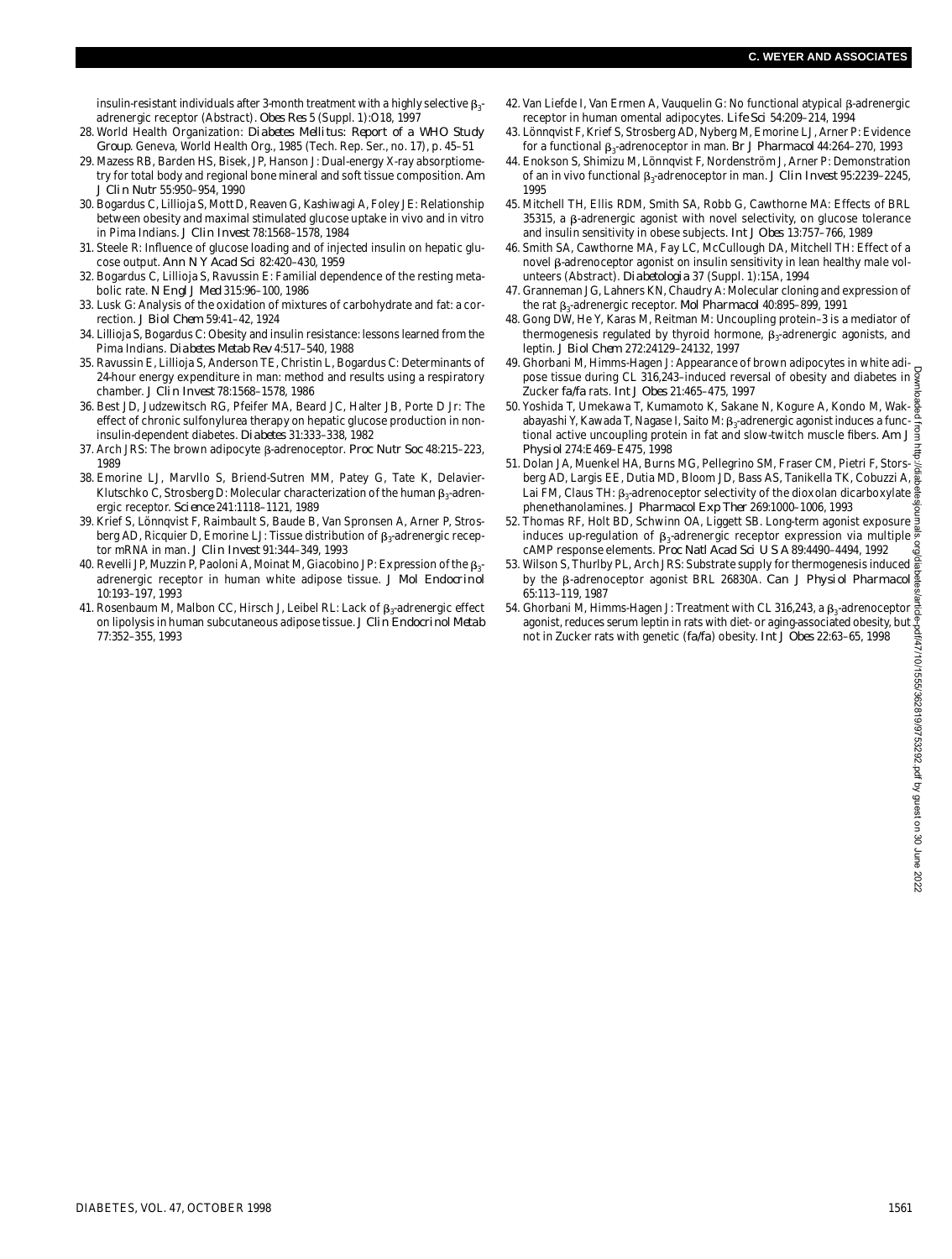insulin-resistant individuals after 3-month treatment with a highly selective  $\beta_{3}$ adrenergic receptor (Abstract). *Obes Res* 5 (Suppl. 1):O18, 1997

- 28. World Health Organization: *Diabetes Mellitus: Report of a WHO Study* Group. Geneva, World Health Org., 1985 (Tech. Rep. Ser., no. 17), p. 45-51
- 2 9 . Mazess RB, Barden HS, Bisek, JP, Hanson J: Dual-energy X-ray absorptiometry for total body and regional bone mineral and soft tissue composition. Am *J Clin Nutr* 55:950–954, 1990
- 30. Bogardus C, Lillioja S, Mott D, Reaven G, Kashiwagi A, Foley JE: Relationship between obesity and maximal stimulated glucose uptake in vivo and in vitro in Pima Indians. *J Clin Invest* 78:1568–1578, 1984
- 31. Steele R: Influence of glucose loading and of injected insulin on hepatic glucose output. *Ann N Y Acad Sci* 82:420–430, 1959
- 32. Bogardus C, Lillioja S, Ravussin E: Familial dependence of the resting metabolic rate. *N Engl J Med* 315:96–100, 1986
- 33. Lusk G: Analysis of the oxidation of mixtures of carbohydrate and fat: a correction. *J Biol Chem* 59:41–42, 1924
- 3 4 . Lillioja S, Bogardus C: Obesity and insulin resistance: lessons learned from the Pima Indians. *Diabetes Metab Rev* 4:517–540, 1988
- 35. Ravussin E, Lillioja S, Anderson TE, Christin L, Bogardus C: Determinants of 24-hour energy expenditure in man: method and results using a respiratory c h a m b e r. *J Clin Invest* 78:1568–1578, 1986
- 36. Best JD, Judzewitsch RG, Pfeifer MA, Beard JC, Halter JB, Porte D Jr: The effect of chronic sulfonylurea therapy on hepatic glucose production in noninsulin-dependent diabetes. *Diabetes* 31:333-338, 1982
- 37. Arch JRS: The brown adipocyte  $\beta$ -adrenoceptor. *Proc Nutr Soc* 48:215-223, 1989
- 38. Emorine LJ, Marvllo S, Briend-Sutren MM, Patey G, Tate K, Delavier-Klutschko C, Strosberg D: Molecular characterization of the human  $\beta_3$ -adrenergic receptor. *Science* 241:1118-1121, 1989
- 39. Krief S, Lönnqvist F, Raimbault S, Baude B, Van Spronsen A, Arner P, Strosberg AD, Ricquier D, Emorine LJ: Tissue distribution of  $\beta_3$ -adrenergic receptor mRNA in man. *J Clin Invest* 91:344–349, 1993
- 40. Revelli JP, Muzzin P, Paoloni A, Moinat M, Giacobino JP: Expression of the  $\beta_{3}$ adrenergic receptor in human white adipose tissue. *J Mol Endocrinol* 10:193–197, 1993
- 41. Rosenbaum M, Malbon CC, Hirsch J, Leibel RL: Lack of  $\beta_3$ -adrenergic effect on lipolysis in human subcutaneous adipose tissue. *J Clin Endocrinol Metab* 77:352–355, 1993
- 42. Van Liefde Ι, Van Ermen A, Vauquelin G: No functional atypical β-adrenergic receptor in human omental adipocytes. *Life Sci* 54:209–214, 1994
- 4 3 . Lönnqvist F, Krief S, Strosberg AD, Nyberg M, Emorine LJ, Arner P: Evidence for a functional β<sub>3</sub>-adrenoceptor in man. *Br J Pharmacol* 44:264–270, 1993
- 4 4 . Enokson S, Shimizu M, Lönnqvist F, Nordenström J, Arner P: Demonstration of an in vivo functional ß<sub>3</sub>-adrenoceptor in man. *J Clin Invest* 95:2239–2245, 1995
- 45. Mitchell TH, Ellis RDM, Smith SA, Robb G, Cawthorne MA: Effects of BRL  $35315$ , a  $\beta$ -adrenergic agonist with novel selectivity, on glucose tolerance and insulin sensitivity in obese subjects. *Int J Obes* 13:757–766, 1989
- 46. Smith SA, Cawthorne MA, Fay LC, McCullough DA, Mitchell TH: Effect of a novel β-adrenoceptor agonist on insulin sensitivity in lean healthy male volunteers (Abstract). *Diabetologia* 37 (Suppl. 1):15A, 1994
- 4 7 . Granneman JG, Lahners KN, Chaudry A: Molecular cloning and expression of the rat β<sub>3</sub>-adrenergic receptor. *Mol Pharmacol* 40:895–899, 1991
- 48. Gong DW, He Y, Karas M, Reitman M: Uncoupling protein-3 is a mediator of thermogenesis regulated by thyroid hormone,  $\beta_{\text{3}}$ -adrenergic agonists, and leptin. *J Biol Chem* 272:24129–24132, 1997
- 49. Ghorbani M, Himms-Hagen J: Appearance of brown adipocytes in white adi- $\frac{1}{2}$  pose tissue during CL 316,243–induced reversal of obesity and diabetes in  $\frac{1}{2}$ Zucker *fa/fa* rats. *Int J Obes* 21:465-475, 1997
- 50. Yoshida T, Umekawa T, Kumamoto K, Sakane N, Kogure A, Kondo M, Wak- $\frac{8}{8}$ abayashi Υ, Kawada T, Nagase I, Saito Μ: β<sub>3</sub>-adrenergic agonist induces a functional active uncoupling protein in fat and slow-twitch muscle fibers. *Am J P h y s i o l* 274:E469–E475, 1998
- 51. Dolan JA, Muenkel HA, Burns MG, Pellegrino SM, Fraser CM, Pietri F, Storsberg AD, Largis EE, Dutia MD, Bloom JD, Bass AS, Tanikella TK, Cobuzzi A, Lai FM, Claus TH:  $\beta_3$ -adrenoceptor selectivity of the dioxolan dicarboxylate phenethanolamines. *J Pharmacol Exp Ther* 269:1000–1006, 1993 Downloaded from http://diabetesjournals.org/diabetes/article-pdf/47/10/1555/362819/9753292.pdf by guest on 30 June 2022
- 52. Thomas RF, Holt BD, Schwinn OA, Liggett SB. Long-term agonist exposure induces up-regulation of  $\beta_{\text{3}}$ -adrenergic receptor expression via multiple cAMP response elements. *Proc Natl Acad Sci U S A* 89:4490–4494, 1992
- 53. Wilson S, Thurlby PL, Arch JRS: Substrate supply for thermogenesis induced  $\frac{2}{90}$ by the β-adrenoceptor agonist BRL 26830A. *Can J Physiol Pharmacol*<sup>2</sup> 65:113–119, 1987
- 54. Ghorbani M, Himms-Hagen J: Treatment with CL 316,243, a  $\beta_3$ -adrenoceptor agonist, reduces serum leptin in rats with diet- or aging-associated obesity, but not in Zucker rats with genetic (*f a / f a*) obesity. *Int J Obes* 22:63–65, 1998